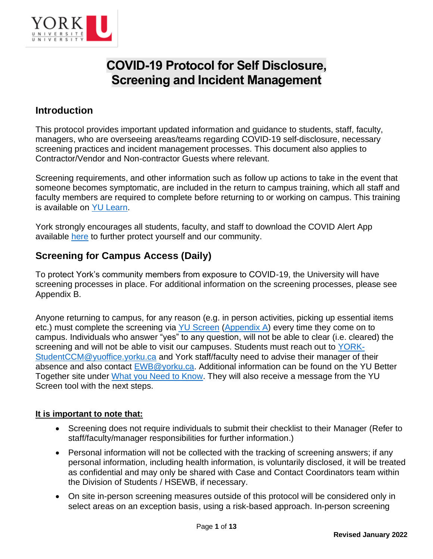

# **COVID-19 Protocol for Self Disclosure, Screening and Incident Management**

## **Introduction**

This protocol provides important updated information and guidance to students, staff, faculty, managers, who are overseeing areas/teams regarding COVID-19 self-disclosure, necessary screening practices and incident management processes. This document also applies to Contractor/Vendor and Non-contractor Guests where relevant.

Screening requirements, and other information such as follow up actions to take in the event that someone becomes symptomatic, are included in the return to campus training, which all staff and faculty members are required to complete before returning to or working on campus. This training is available on [YU Learn.](https://yulearn.yorku.ca/local/yulearn/learning_opportunity.php?id=220)

York strongly encourages all students, faculty, and staff to download the COVID Alert App available [here](https://covid-19.ontario.ca/) to further protect yourself and our community.

# **Screening for Campus Access (Daily)**

To protect York's community members from exposure to COVID-19, the University will have screening processes in place. For additional information on the screening processes, please see Appendix B.

Anyone returning to campus, for any reason (e.g. in person activities, picking up essential items etc.) must complete the screening via [YU Screen](https://yorku.ubixhealth.com/) [\(Appendix A\)](https://yubettertogether.info.yorku.ca/appendix-a/) every time they come on to campus. Individuals who answer "yes" to any question, will not be able to clear (i.e. cleared) the screening and will not be able to visit our campuses. Students must reach out to [YORK-](mailto:YORK-StudentCCM@yuoffice.yorku.ca)[StudentCCM@yuoffice.yorku.ca](mailto:YORK-StudentCCM@yuoffice.yorku.ca) and York staff/faculty need to advise their manager of their absence and also contact [EWB@yorku.ca.](mailto:EWB@yorku.ca) Additional information can be found on the YU Better Together site under [What you Need to Know.](https://yubettertogether.info.yorku.ca/covid-19-case-status) They will also receive a message from the YU Screen tool with the next steps.

#### **It is important to note that:**

- Screening does not require individuals to submit their checklist to their Manager (Refer to staff/faculty/manager responsibilities for further information.)
- Personal information will not be collected with the tracking of screening answers; if any personal information, including health information, is voluntarily disclosed, it will be treated as confidential and may only be shared with Case and Contact Coordinators team within the Division of Students / HSEWB, if necessary.
- On site in-person screening measures outside of this protocol will be considered only in select areas on an exception basis, using a risk-based approach. In-person screening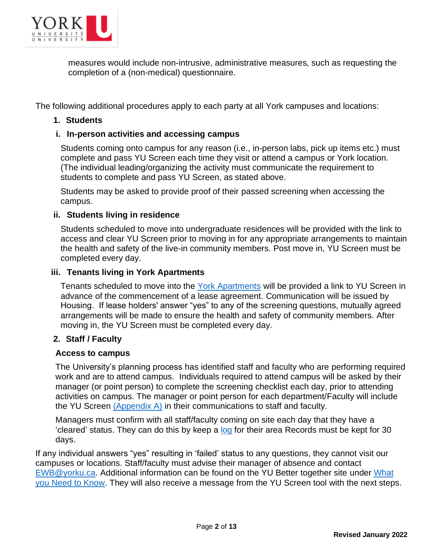

measures would include non-intrusive, administrative measures, such as requesting the completion of a (non-medical) questionnaire.

The following additional procedures apply to each party at all York campuses and locations:

#### **1. Students**

#### **i. In-person activities and accessing campus**

Students coming onto campus for any reason (i.e., in-person labs, pick up items etc.) must complete and pass YU Screen each time they visit or attend a campus or York location. (The individual leading/organizing the activity must communicate the requirement to students to complete and pass YU Screen, as stated above.

Students may be asked to provide proof of their passed screening when accessing the campus.

#### **ii. Students living in residence**

Students scheduled to move into undergraduate residences will be provided with the link to access and clear YU Screen prior to moving in for any appropriate arrangements to maintain the health and safety of the live-in community members. Post move in, YU Screen must be completed every day.

#### **iii. Tenants living in York Apartments**

Tenants scheduled to move into the [York Apartments](mailto:cleofe@yorku.ca) will be provided a link to YU Screen in advance of the commencement of a lease agreement. Communication will be issued by Housing. If lease holders' answer "yes" to any of the screening questions, mutually agreed arrangements will be made to ensure the health and safety of community members. After moving in, the YU Screen must be completed every day.

#### **2. Staff / Faculty**

#### **Access to campus**

The University's planning process has identified staff and faculty who are performing required work and are to attend campus. Individuals required to attend campus will be asked by their manager (or point person) to complete the screening checklist each day, prior to attending activities on campus. The manager or point person for each department/Faculty will include the YU Screen [\(Appendix A\)](#page-10-0) in their communications to staff and faculty.

Managers must confirm with all staff/faculty coming on site each day that they have a 'cleared' status. They can do this by keep a [log](https://yulink-new.yorku.ca/documents/20182/12787045/COVID-19+Screening+Confirmation+Log/2c036bc0-55cc-43ff-8b50-557a8e7e1859) for their area Records must be kept for 30 days.

If any individual answers "yes" resulting in 'failed' status to any questions, they cannot visit our campuses or locations. Staff/faculty must advise their manager of absence and contact [EWB@yorku.ca.](mailto:EWB@yorku.ca) Additional information can be found on the YU Better together site under [What](https://yubettertogether.info.yorku.ca/covid-19-case-status)  [you Need to Know.](https://yubettertogether.info.yorku.ca/covid-19-case-status) They will also receive a message from the YU Screen tool with the next steps.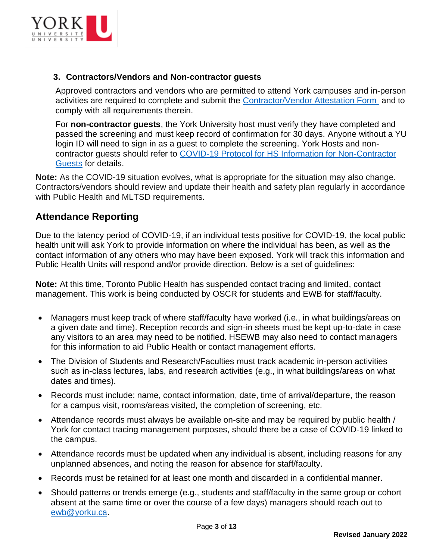

#### **3. Contractors/Vendors and Non-contractor guests**

Approved contractors and vendors who are permitted to attend York campuses and in-person activities are required to complete and submit the **Contractor/Vendor Attestation Form** and to comply with all requirements therein.

For **non-contractor guests**, the York University host must verify they have completed and passed the screening and must keep record of confirmation for 30 days. Anyone without a YU login ID will need to sign in as a guest to complete the screening. York Hosts and noncontractor guests should refer to [COVID-19 Protocol for HS Information for Non-Contractor](https://yulink-new.yorku.ca/documents/20182/22892463/COVID-19+Protocol+for+Health+and+Safety+Information+for+Non-Contractor+Guests+on+York+Campuses/81951e8d-1a90-448d-8116-36e88068a3ae)  [Guests](https://yulink-new.yorku.ca/documents/20182/22892463/COVID-19+Protocol+for+Health+and+Safety+Information+for+Non-Contractor+Guests+on+York+Campuses/81951e8d-1a90-448d-8116-36e88068a3ae) for details.

**Note:** As the COVID-19 situation evolves, what is appropriate for the situation may also change. Contractors/vendors should review and update their health and safety plan regularly in accordance with Public Health and MLTSD requirements.

### **Attendance Reporting**

Due to the latency period of COVID-19, if an individual tests positive for COVID-19, the local public health unit will ask York to provide information on where the individual has been, as well as the contact information of any others who may have been exposed. York will track this information and Public Health Units will respond and/or provide direction. Below is a set of guidelines:

**Note:** At this time, Toronto Public Health has suspended contact tracing and limited, contact management. This work is being conducted by OSCR for students and EWB for staff/faculty.

- Managers must keep track of where staff/faculty have worked (i.e., in what buildings/areas on a given date and time). Reception records and sign-in sheets must be kept up-to-date in case any visitors to an area may need to be notified. HSEWB may also need to contact managers for this information to aid Public Health or contact management efforts.
- The Division of Students and Research/Faculties must track academic in-person activities such as in-class lectures, labs, and research activities (e.g., in what buildings/areas on what dates and times).
- Records must include: name, contact information, date, time of arrival/departure, the reason for a campus visit, rooms/areas visited, the completion of screening, etc.
- Attendance records must always be available on-site and may be required by public health / York for contact tracing management purposes, should there be a case of COVID-19 linked to the campus.
- Attendance records must be updated when any individual is absent, including reasons for any unplanned absences, and noting the reason for absence for staff/faculty.
- Records must be retained for at least one month and discarded in a confidential manner.
- Should patterns or trends emerge (e.g., students and staff/faculty in the same group or cohort absent at the same time or over the course of a few days) managers should reach out to [ewb@yorku.ca.](mailto:ewb@yorku.ca)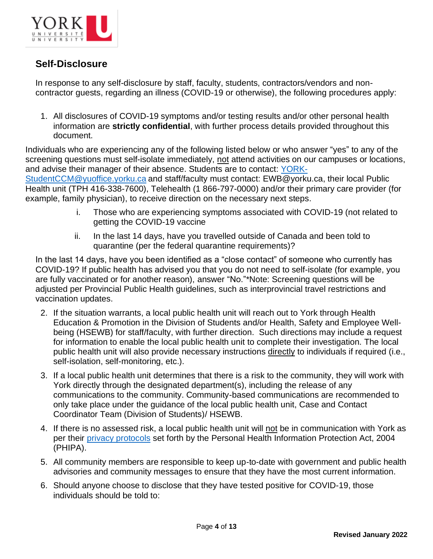

# **Self-Disclosure**

In response to any self-disclosure by staff, faculty, students, contractors/vendors and noncontractor guests, regarding an illness (COVID-19 or otherwise), the following procedures apply:

1. All disclosures of COVID-19 symptoms and/or testing results and/or other personal health information are **strictly confidential**, with further process details provided throughout this document.

Individuals who are experiencing any of the following listed below or who answer "yes" to any of the screening questions must self-isolate immediately, not attend activities on our campuses or locations, and advise their manager of their absence. Students are to contact: [YORK-](mailto:YORK-StudentCCM@yuoffice.yorku.ca)

[StudentCCM@yuoffice.yorku.ca](mailto:YORK-StudentCCM@yuoffice.yorku.ca) and staff/faculty must contact: EWB@yorku.ca, their local Public Health unit (TPH 416-338-7600), Telehealth (1 866-797-0000) and/or their primary care provider (for example, family physician), to receive direction on the necessary next steps.

- i. Those who are experiencing symptoms associated with COVID-19 (not related to getting the COVID-19 vaccine
- ii. In the last 14 days, have you travelled outside of Canada and been told to quarantine (per the federal quarantine requirements)?

In the last 14 days, have you been identified as a "close contact" of someone who currently has COVID-19? If public health has advised you that you do not need to self-isolate (for example, you are fully vaccinated or for another reason), answer "No."\*Note: Screening questions will be adjusted per Provincial Public Health guidelines, such as interprovincial travel restrictions and vaccination updates.

- 2. If the situation warrants, a local public health unit will reach out to York through Health Education & Promotion in the Division of Students and/or Health, Safety and Employee Wellbeing (HSEWB) for staff/faculty, with further direction. Such directions may include a request for information to enable the local public health unit to complete their investigation. The local public health unit will also provide necessary instructions directly to individuals if required (i.e., self-isolation, self-monitoring, etc.).
- 3. If a local public health unit determines that there is a risk to the community, they will work with York directly through the designated department(s), including the release of any communications to the community. Community-based communications are recommended to only take place under the guidance of the local public health unit, Case and Contact Coordinator Team (Division of Students)/ HSEWB.
- 4. If there is no assessed risk, a local public health unit will not be in communication with York as per their [privacy protocols](https://www.toronto.ca/community-people/health-wellness-care/information-practices-statement/) set forth by the Personal Health Information Protection Act, 2004 (PHIPA).
- 5. All community members are responsible to keep up-to-date with government and public health advisories and community messages to ensure that they have the most current information.
- 6. Should anyone choose to disclose that they have tested positive for COVID-19, those individuals should be told to: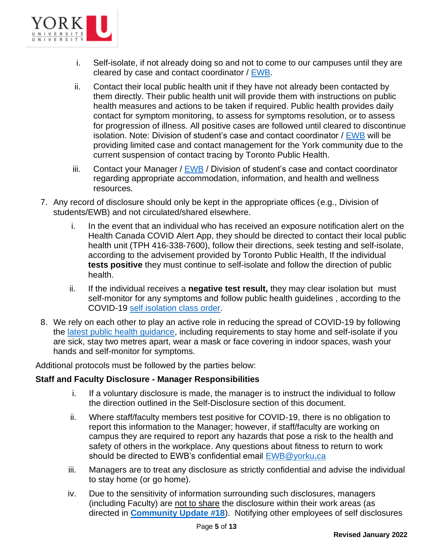

- i. Self-isolate, if not already doing so and not to come to our campuses until they are cleared by case and contact coordinator / [EWB.](mailto:ewb@yorku.ca)
- ii. Contact their local public health unit if they have not already been contacted by them directly. Their public health unit will provide them with instructions on public health measures and actions to be taken if required. Public health provides daily contact for symptom monitoring, to assess for symptoms resolution, or to assess for progression of illness. All positive cases are followed until cleared to discontinue isolation. Note: Division of student's case and contact coordinator / [EWB](mailto:ewb@yorku.ca) will be providing limited case and contact management for the York community due to the current suspension of contact tracing by Toronto Public Health.
- iii. Contact your Manager / [EWB](mailto:ewb@yorku.ca) / Division of student's case and contact coordinator regarding appropriate accommodation, information, and health and wellness resources.
- 7. Any record of disclosure should only be kept in the appropriate offices (e.g., Division of students/EWB) and not circulated/shared elsewhere.
	- i. In the event that an individual who has received an exposure notification alert on the Health Canada COVID Alert App, they should be directed to contact their local public health unit (TPH 416-338-7600), follow their directions, seek testing and self-isolate, according to the advisement provided by Toronto Public Health, If the individual **tests positive** they must continue to self-isolate and follow the direction of public health.
	- ii. If the individual receives a **negative test result,** they may clear isolation but must self-monitor for any symptoms and follow public health guidelines , according to the COVID-19 [self isolation class order.](https://www.toronto.ca/home/covid-19/covid-19-what-you-should-do/covid-19-orders-directives-by-laws/)
- 8. We rely on each other to play an active role in reducing the spread of COVID-19 by following the [latest public health guidance,](https://www.toronto.ca/home/covid-19/) including requirements to stay home and self-isolate if you are sick, stay two metres apart, wear a mask or face covering in indoor spaces, wash your hands and self-monitor for symptoms.

Additional protocols must be followed by the parties below:

#### **Staff and Faculty Disclosure - Manager Responsibilities**

- i. If a voluntary disclosure is made, the manager is to instruct the individual to follow the direction outlined in the Self-Disclosure section of this document.
- ii. Where staff/faculty members test positive for COVID-19, there is no obligation to report this information to the Manager; however, if staff/faculty are working on campus they are required to report any hazards that pose a risk to the health and safety of others in the workplace. Any questions about fitness to return to work should be directed to EWB's confidential email [EWB@yorku](mailto:EWB@yorku.ca)**.**ca
- iii. Managers are to treat any disclosure as strictly confidential and advise the individual to stay home (or go home).
- iv. Due to the sensitivity of information surrounding such disclosures, managers (including Faculty) are not to share the disclosure within their work areas (as directed in **[Community Update #18](https://coronavirus.info.yorku.ca/required-services/)**). Notifying other employees of self disclosures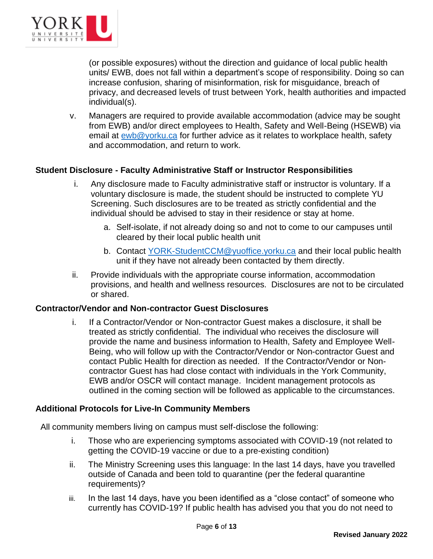

(or possible exposures) without the direction and guidance of local public health units/ EWB, does not fall within a department's scope of responsibility. Doing so can increase confusion, sharing of misinformation, risk for misguidance, breach of privacy, and decreased levels of trust between York, health authorities and impacted individual(s).

v. Managers are required to provide available accommodation (advice may be sought from EWB) and/or direct employees to Health, Safety and Well-Being (HSEWB) via email at [ewb@yorku.ca](mailto:ewb@yorku.ca) for further advice as it relates to workplace health, safety and accommodation, and return to work.

#### **Student Disclosure - Faculty Administrative Staff or Instructor Responsibilities**

- i. Any disclosure made to Faculty administrative staff or instructor is voluntary. If a voluntary disclosure is made, the student should be instructed to complete YU Screening. Such disclosures are to be treated as strictly confidential and the individual should be advised to stay in their residence or stay at home.
	- a. Self-isolate, if not already doing so and not to come to our campuses until cleared by their local public health unit
	- b. Contact [YORK-StudentCCM@yuoffice.yorku.ca](mailto:YORK-StudentCCM@yuoffice.yorku.ca) and their local public health unit if they have not already been contacted by them directly.
- ii. Provide individuals with the appropriate course information, accommodation provisions, and health and wellness resources. Disclosures are not to be circulated or shared.

#### **Contractor/Vendor and Non-contractor Guest Disclosures**

i. If a Contractor/Vendor or Non-contractor Guest makes a disclosure, it shall be treated as strictly confidential. The individual who receives the disclosure will provide the name and business information to Health, Safety and Employee Well-Being, who will follow up with the Contractor/Vendor or Non-contractor Guest and contact Public Health for direction as needed. If the Contractor/Vendor or Noncontractor Guest has had close contact with individuals in the York Community, EWB and/or OSCR will contact manage. Incident management protocols as outlined in the coming section will be followed as applicable to the circumstances.

#### **Additional Protocols for Live-In Community Members**

All community members living on campus must self-disclose the following:

- i. Those who are experiencing symptoms associated with COVID-19 (not related to getting the COVID-19 vaccine or due to a pre-existing condition)
- ii. The Ministry Screening uses this language: In the last 14 days, have you travelled outside of Canada and been told to quarantine (per the federal quarantine requirements)?
- iii. In the last 14 days, have you been identified as a "close contact" of someone who currently has COVID-19? If public health has advised you that you do not need to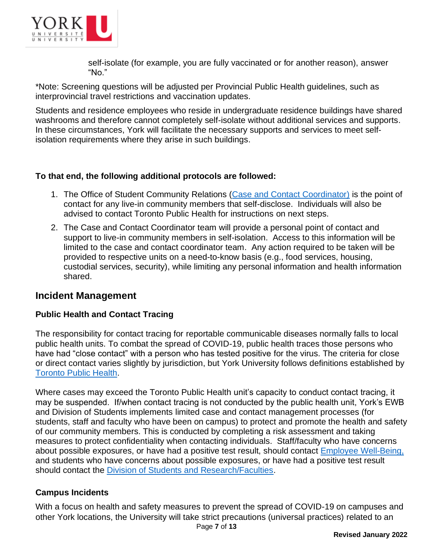

self-isolate (for example, you are fully vaccinated or for another reason), answer "No."

\*Note: Screening questions will be adjusted per Provincial Public Health guidelines, such as interprovincial travel restrictions and vaccination updates.

Students and residence employees who reside in undergraduate residence buildings have shared washrooms and therefore cannot completely self-isolate without additional services and supports. In these circumstances, York will facilitate the necessary supports and services to meet selfisolation requirements where they arise in such buildings.

#### **To that end, the following additional protocols are followed:**

- 1. The Office of Student Community Relations [\(Case and Contact Coordinator\)](mailto:StudentCCM@yuoffice.yorku.ca) is the point of contact for any live-in community members that self-disclose. Individuals will also be advised to contact Toronto Public Health for instructions on next steps.
- 2. The Case and Contact Coordinator team will provide a personal point of contact and support to live-in community members in self-isolation. Access to this information will be limited to the case and contact coordinator team. Any action required to be taken will be provided to respective units on a need-to-know basis (e.g., food services, housing, custodial services, security), while limiting any personal information and health information shared.

### **Incident Management**

#### **Public Health and Contact Tracing**

The responsibility for contact tracing for reportable communicable diseases normally falls to local public health units. To combat the spread of COVID-19, public health traces those persons who have had "close contact" with a person who has tested positive for the virus. The criteria for close or direct contact varies slightly by jurisdiction, but York University follows definitions established by [Toronto Public Health.](https://www.toronto.ca/home/covid-19/covid-19-what-you-should-do/covid-19-have-symptoms-or-been-exposed/#:~:text=Close%20Contact,-You%20were%20within&text=You%20had%20multiple%20close%20encounters,care%20in%20the%20same%20home.)

Where cases may exceed the Toronto Public Health unit's capacity to conduct contact tracing, it may be suspended. If/when contact tracing is not conducted by the public health unit, York's EWB and Division of Students implements limited case and contact management processes (for students, staff and faculty who have been on campus) to protect and promote the health and safety of our community members. This is conducted by completing a risk assessment and taking measures to protect confidentiality when contacting individuals. Staff/faculty who have concerns about possible exposures, or have had a positive test result, should contact [Employee Well-Being,](mailto:ewb@yorku.ca) and students who have concerns about possible exposures, or have had a positive test result should contact the [Division of Students and Research/Faculties.](mailto:oscr@yorku.ca)

### **Campus Incidents**

With a focus on health and safety measures to prevent the spread of COVID-19 on campuses and other York locations, the University will take strict precautions (universal practices) related to an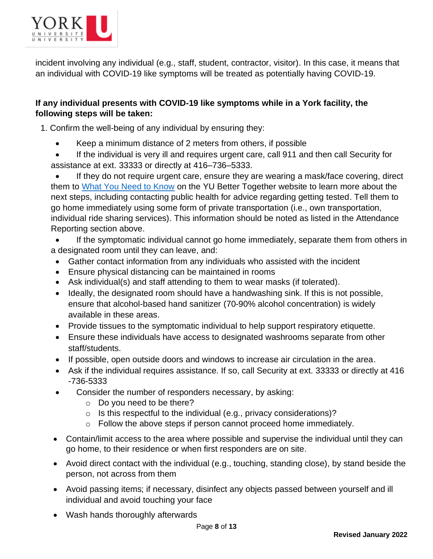

incident involving any individual (e.g., staff, student, contractor, visitor). In this case, it means that an individual with COVID-19 like symptoms will be treated as potentially having COVID-19.

### **If any individual presents with COVID-19 like symptoms while in a York facility, the following steps will be taken:**

1. Confirm the well-being of any individual by ensuring they:

- Keep a minimum distance of 2 meters from others, if possible
- If the individual is very ill and requires urgent care, call 911 and then call Security for assistance at ext. 33333 or directly at 416–736–5333.

If they do not require urgent care, ensure they are wearing a mask/face covering, direct them to [What You Need to Know](https://yubettertogether.info.yorku.ca/covid-19-case-status/) on the YU Better Together website to learn more about the next steps, including contacting public health for advice regarding getting tested. Tell them to go home immediately using some form of private transportation (i.e., own transportation, individual ride sharing services). This information should be noted as listed in the Attendance Reporting section above.

• If the symptomatic individual cannot go home immediately, separate them from others in a designated room until they can leave, and:

- Gather contact information from any individuals who assisted with the incident
- Ensure physical distancing can be maintained in rooms
- Ask individual(s) and staff attending to them to wear masks (if tolerated).
- Ideally, the designated room should have a handwashing sink. If this is not possible, ensure that alcohol-based hand sanitizer (70-90% alcohol concentration) is widely available in these areas.
- Provide tissues to the symptomatic individual to help support respiratory etiquette.
- Ensure these individuals have access to designated washrooms separate from other staff/students.
- If possible, open outside doors and windows to increase air circulation in the area.
- Ask if the individual requires assistance. If so, call Security at ext. 33333 or directly at 416 -736-5333
- Consider the number of responders necessary, by asking:
	- o Do you need to be there?
	- $\circ$  Is this respectful to the individual (e.g., privacy considerations)?
	- o Follow the above steps if person cannot proceed home immediately.
- Contain/limit access to the area where possible and supervise the individual until they can go home, to their residence or when first responders are on site.
- Avoid direct contact with the individual (e.g., touching, standing close), by stand beside the person, not across from them
- Avoid passing items; if necessary, disinfect any objects passed between yourself and ill individual and avoid touching your face
- Wash hands thoroughly afterwards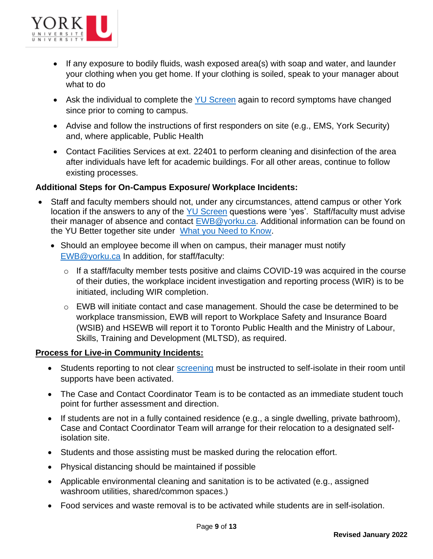

- If any exposure to bodily fluids, wash exposed area(s) with soap and water, and launder your clothing when you get home. If your clothing is soiled, speak to your manager about what to do
- Ask the individual to complete the [YU Screen](https://yorku.ubixhealth.com/) again to record symptoms have changed since prior to coming to campus.
- Advise and follow the instructions of first responders on site (e.g., EMS, York Security) and, where applicable, Public Health
- Contact Facilities Services at ext. 22401 to perform cleaning and disinfection of the area after individuals have left for academic buildings. For all other areas, continue to follow existing processes.

#### **Additional Steps for On-Campus Exposure/ Workplace Incidents:**

- Staff and faculty members should not, under any circumstances, attend campus or other York location if the answers to any of the [YU Screen](https://yorku.ubixhealth.com/) questions were 'yes'. Staff/faculty must advise their manager of absence and contact [EWB@yorku.ca.](mailto:EWB@yorku.ca) Additional information can be found on the YU Better together site under [What you Need to Know.](https://yubettertogether.info.yorku.ca/covid-19-case-status)
	- Should an employee become ill when on campus, their manager must notify [EWB@yorku.ca](mailto:EWB@yorku.ca) In addition, for staff/faculty:
		- o If a staff/faculty member tests positive and claims COVID-19 was acquired in the course of their duties, the workplace incident investigation and reporting process (WIR) is to be initiated, including WIR completion.
		- $\circ$  EWB will initiate contact and case management. Should the case be determined to be workplace transmission, EWB will report to Workplace Safety and Insurance Board (WSIB) and HSEWB will report it to Toronto Public Health and the Ministry of Labour, Skills, Training and Development (MLTSD), as required.

#### **Process for Live-in Community Incidents:**

- Students reporting to not clear [screening](https://forms.office.com/Pages/ResponsePage.aspx?id=GBNTNBFw1E-H8KQ4FsSb0Aii_h-sJShOmtngDnHIJ49UNEFPQUJHTzIySDE0N0I1S0s2NjE2MkRRUyQlQCN0PWcu&qrcode=true&fbclid=IwAR2vv3-v_BzNHWD48JQRDIeKg0O71pkpgxGFOod-I_SBIftwk-yNV2AMdTU) must be instructed to self-isolate in their room until supports have been activated.
- The Case and Contact Coordinator Team is to be contacted as an immediate student touch point for further assessment and direction.
- If students are not in a fully contained residence (e.g., a single dwelling, private bathroom), Case and Contact Coordinator Team will arrange for their relocation to a designated selfisolation site.
- Students and those assisting must be masked during the relocation effort.
- Physical distancing should be maintained if possible
- Applicable environmental cleaning and sanitation is to be activated (e.g., assigned washroom utilities, shared/common spaces.)
- Food services and waste removal is to be activated while students are in self-isolation.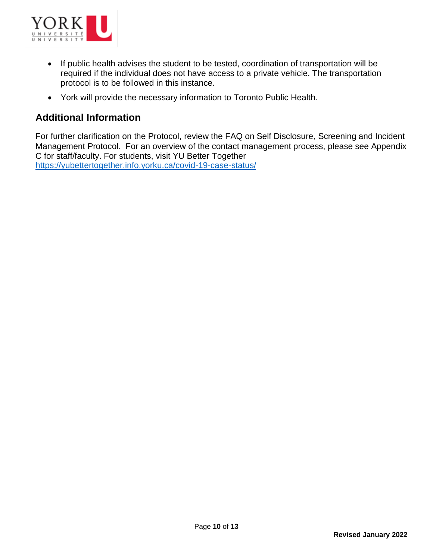

- If public health advises the student to be tested, coordination of transportation will be required if the individual does not have access to a private vehicle. The transportation protocol is to be followed in this instance.
- York will provide the necessary information to Toronto Public Health.

### **Additional Information**

For further clarification on the Protocol, review the FAQ on Self Disclosure, Screening and Incident Management Protocol. For an overview of the contact management process, please see Appendix C for staff/faculty. For students, visit YU Better Together <https://yubettertogether.info.yorku.ca/covid-19-case-status/>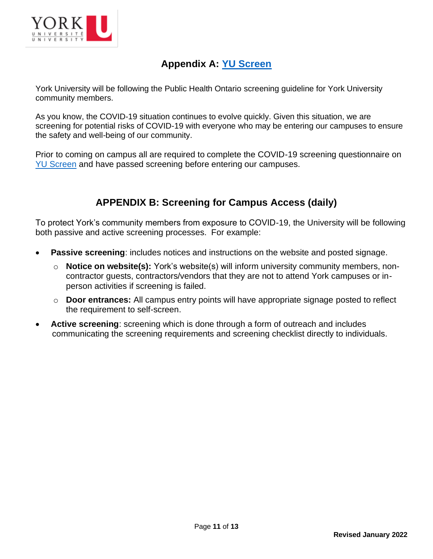

# **Appendix A: [YU Screen](https://yorku.ubixhealth.com/)**

<span id="page-10-0"></span>York University will be following the Public Health Ontario screening guideline for York University community members.

As you know, the COVID-19 situation continues to evolve quickly. Given this situation, we are screening for potential risks of COVID-19 with everyone who may be entering our campuses to ensure the safety and well-being of our community.

Prior to coming on campus all are required to complete the COVID-19 screening questionnaire on [YU Screen](https://yorku.ubixhealth.com/) and have passed screening before entering our campuses.

# **APPENDIX B: Screening for Campus Access (daily)**

To protect York's community members from exposure to COVID-19, the University will be following both passive and active screening processes. For example:

- **Passive screening:** includes notices and instructions on the website and posted signage.
	- o **Notice on website(s):** York's website(s) will inform university community members, noncontractor guests, contractors/vendors that they are not to attend York campuses or inperson activities if screening is failed.
	- o **Door entrances:** All campus entry points will have appropriate signage posted to reflect the requirement to self-screen.
- **Active screening**: screening which is done through a form of outreach and includes communicating the screening requirements and screening checklist directly to individuals.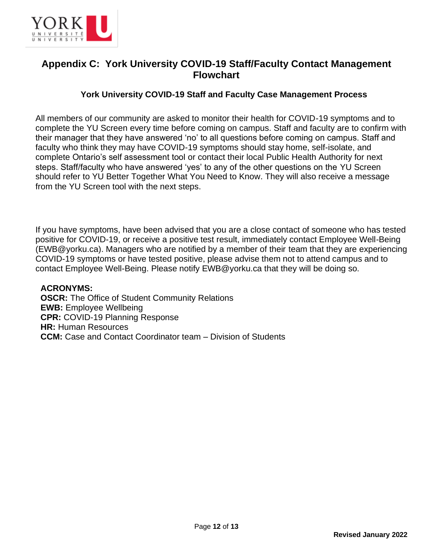

# **Appendix C: York University COVID-19 Staff/Faculty Contact Management Flowchart**

#### **York University COVID-19 Staff and Faculty Case Management Process**

All members of our community are asked to monitor their health for COVID-19 symptoms and to complete the YU Screen every time before coming on campus. Staff and faculty are to confirm with their manager that they have answered 'no' to all questions before coming on campus. Staff and faculty who think they may have COVID-19 symptoms should stay home, self-isolate, and complete Ontario's self assessment tool or contact their local Public Health Authority for next steps. Staff/faculty who have answered 'yes' to any of the other questions on the YU Screen should refer to YU Better Together What You Need to Know. They will also receive a message from the YU Screen tool with the next steps.

If you have symptoms, have been advised that you are a close contact of someone who has tested positive for COVID-19, or receive a positive test result, immediately contact Employee Well-Being (EWB@yorku.ca). Managers who are notified by a member of their team that they are experiencing COVID-19 symptoms or have tested positive, please advise them not to attend campus and to contact Employee Well-Being. Please notify EWB@yorku.ca that they will be doing so.

#### **ACRONYMS:**

**OSCR:** The Office of Student Community Relations **EWB:** Employee Wellbeing **CPR:** COVID-19 Planning Response **HR:** Human Resources **CCM:** Case and Contact Coordinator team – Division of Students